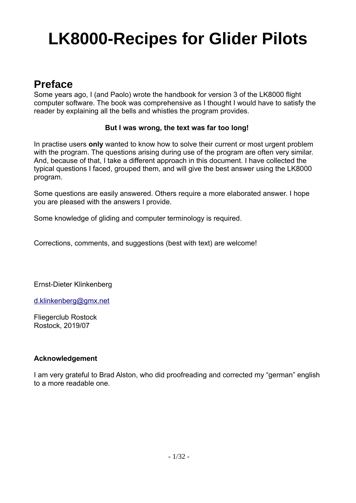# **LK8000-Recipes for Glider Pilots**

## **Preface**

Some years ago, I (and Paolo) wrote the handbook for version 3 of the LK8000 flight computer software. The book was comprehensive as I thought I would have to satisfy the reader by explaining all the bells and whistles the program provides.

#### **But I was wrong, the text was far too long!**

In practise users **only** wanted to know how to solve their current or most urgent problem with the program. The questions arising during use of the program are often very similar. And, because of that, I take a different approach in this document. I have collected the typical questions I faced, grouped them, and will give the best answer using the LK8000 program.

Some questions are easily answered. Others require a more elaborated answer. I hope you are pleased with the answers I provide.

Some knowledge of gliding and computer terminology is required.

Corrections, comments, and suggestions (best with text) are welcome!

Ernst-Dieter Klinkenberg

[d.klinkenberg@gmx.net](mailto:d.klinkenberg@gmx.net)

Fliegerclub Rostock Rostock, 2019/07

#### **Acknowledgement**

I am very grateful to Brad Alston, who did proofreading and corrected my "german" english to a more readable one.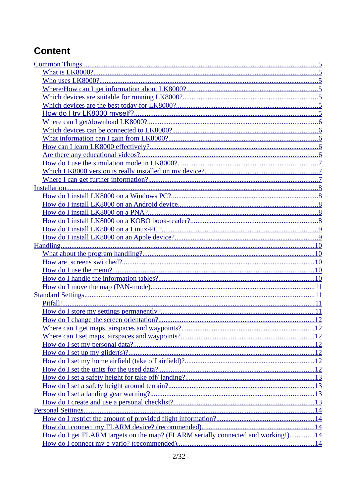## **Content**

| How do I get FLARM targets on the map? (FLARM serially connected and working!)14 |  |
|----------------------------------------------------------------------------------|--|
|                                                                                  |  |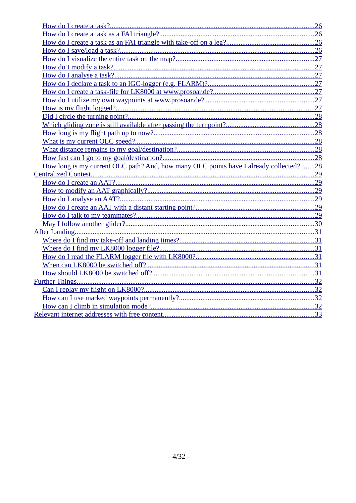| How long is my current OLC path? And, how many OLC points have I already collected?28 |  |
|---------------------------------------------------------------------------------------|--|
|                                                                                       |  |
|                                                                                       |  |
|                                                                                       |  |
|                                                                                       |  |
|                                                                                       |  |
|                                                                                       |  |
|                                                                                       |  |
|                                                                                       |  |
|                                                                                       |  |
|                                                                                       |  |
|                                                                                       |  |
|                                                                                       |  |
|                                                                                       |  |
|                                                                                       |  |
|                                                                                       |  |
|                                                                                       |  |
|                                                                                       |  |
|                                                                                       |  |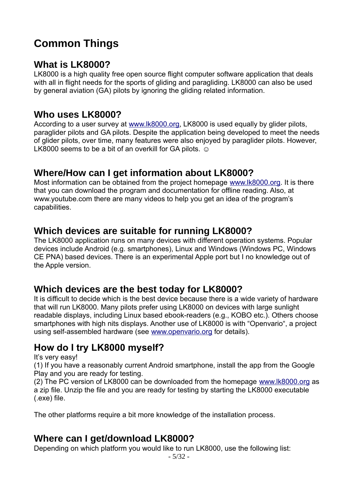## <span id="page-4-7"></span>**Common Things**

#### <span id="page-4-6"></span>**What is LK8000?**

LK8000 is a high quality free open source flight computer software application that deals with all in flight needs for the sports of gliding and paragliding. LK8000 can also be used by general aviation (GA) pilots by ignoring the gliding related information.

#### <span id="page-4-5"></span>**Who uses LK8000?**

According to a user survey at [www.lk8000.org](http://www.lk8000.org/), LK8000 is used equally by glider pilots, paraglider pilots and GA pilots. Despite the application being developed to meet the needs of glider pilots, over time, many features were also enjoyed by paraglider pilots. However, LK8000 seems to be a bit of an overkill for GA pilots.  $\odot$ 

## <span id="page-4-4"></span>**Where/How can I get information about LK8000?**

Most information can be obtained from the project homepage [www.lk8000.org](http://www.lk8000.org/). It is there that you can download the program and documentation for offline reading. Also, at www.youtube.com there are many videos to help you get an idea of the program's capabilities.

## <span id="page-4-3"></span>**Which devices are suitable for running LK8000?**

The LK8000 application runs on many devices with different operation systems. Popular devices include Android (e.g. smartphones), Linux and Windows (Windows PC, Windows CE PNA) based devices. There is an experimental Apple port but I no knowledge out of the Apple version.

## <span id="page-4-2"></span>**Which devices are the best today for LK8000?**

It is difficult to decide which is the best device because there is a wide variety of hardware that will run LK8000. Many pilots prefer using LK8000 on devices with large sunlight readable displays, including Linux based ebook-readers (e.g., KOBO etc.). Others choose smartphones with high nits displays. Another use of LK8000 is with "Openvario", a project using self-assembled hardware (see [www.openvario.org](http://www.openvario.org/) for details).

## <span id="page-4-1"></span>**How do I try LK8000 myself?**

It's very easy!

(1) If you have a reasonably current Android smartphone, install the app from the Google Play and you are ready for testing.

(2) The PC version of LK8000 can be downloaded from the homepage [www.lk8000.org](http://www.lk8000.org/) as a zip file. Unzip the file and you are ready for testing by starting the LK8000 executable (.exe) file.

The other platforms require a bit more knowledge of the installation process.

#### <span id="page-4-0"></span>**Where can I get/download LK8000?**

Depending on which platform you would like to run LK8000, use the following list: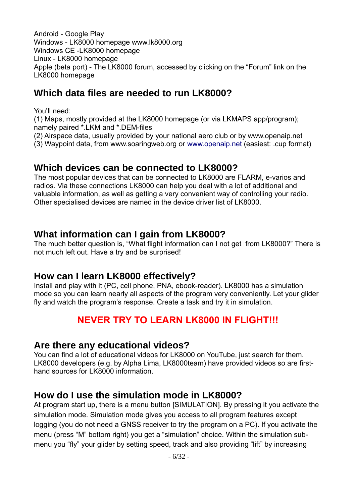Android - Google Play Windows - LK8000 homepage www.lk8000.org Windows CE -LK8000 homepage Linux - LK8000 homepage Apple (beta port) - The LK8000 forum, accessed by clicking on the "Forum" link on the LK8000 homepage

## **Which data files are needed to run LK8000?**

You'll need:

(1) Maps, mostly provided at the LK8000 homepage (or via LKMAPS app/program); namely paired \*.LKM and \*.DEM-files

(2) Airspace data, usually provided by your national aero club or by www.openaip.net

(3) Waypoint data, from www.soaringweb.org or [www. openaip. net](http://www.openaip.net/) (easiest: .cup format)

#### <span id="page-5-4"></span>**Which devices can be connected to LK8000?**

The most popular devices that can be connected to LK8000 are FLARM, e-varios and radios. Via these connections LK8000 can help you deal with a lot of additional and valuable information, as well as getting a very convenient way of controlling your radio. Other specialised devices are named in the device driver list of LK8000.

#### <span id="page-5-3"></span>**What information can I gain from LK8000?**

The much better question is, "What flight information can I not get from LK8000?" There is not much left out. Have a try and be surprised!

#### <span id="page-5-2"></span>**How can I learn LK8000 effectively?**

Install and play with it (PC, cell phone, PNA, ebook-reader). LK8000 has a simulation mode so you can learn nearly all aspects of the program very conveniently. Let your glider fly and watch the program's response. Create a task and try it in simulation.

## **NEVER TRY TO LEARN LK8000 IN FLIGHT!!!**

#### <span id="page-5-1"></span>**Are there any educational videos?**

You can find a lot of educational videos for LK8000 on YouTube, just search for them. LK8000 developers (e.g. by Alpha Lima, LK8000team) have provided videos so are firsthand sources for LK8000 information.

#### <span id="page-5-0"></span>**How do I use the simulation mode in LK8000?**

At program start up, there is a menu button [SIMULATION]. By pressing it you activate the simulation mode. Simulation mode gives you access to all program features except logging (you do not need a GNSS receiver to try the program on a PC). If you activate the menu (press "M" bottom right) you get a "simulation" choice. Within the simulation submenu you "fly" your glider by setting speed, track and also providing "lift" by increasing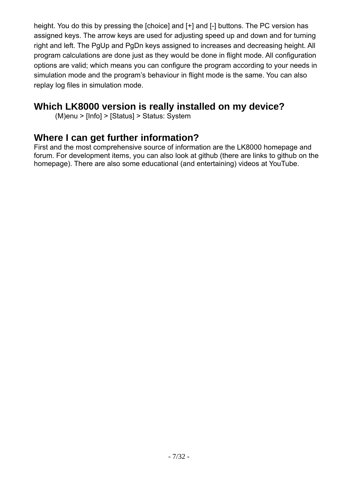height. You do this by pressing the [choice] and [+] and [-] buttons. The PC version has assigned keys. The arrow keys are used for adjusting speed up and down and for turning right and left. The PgUp and PgDn keys assigned to increases and decreasing height. All program calculations are done just as they would be done in flight mode. All configuration options are valid; which means you can configure the program according to your needs in simulation mode and the program's behaviour in flight mode is the same. You can also replay log files in simulation mode.

## <span id="page-6-1"></span>**Which LK8000 version is really installed on my device?**

(M)enu > [Info] > [Status] > Status: System

## <span id="page-6-0"></span>**Where I can get further information?**

First and the most comprehensive source of information are the LK8000 homepage and forum. For development items, you can also look at github (there are links to github on the homepage). There are also some educational (and entertaining) videos at YouTube.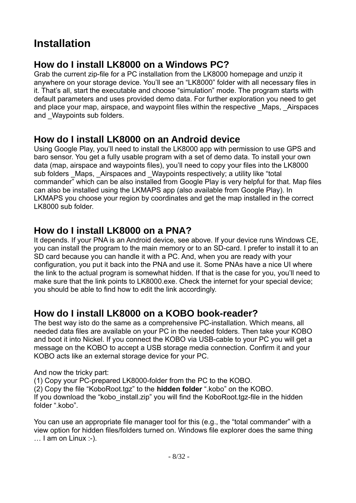## <span id="page-7-4"></span>**Installation**

## <span id="page-7-3"></span>**How do I install LK8000 on a Windows PC?**

Grab the current zip-file for a PC installation from the LK8000 homepage and unzip it anywhere on your storage device. You'll see an "LK8000" folder with all necessary files in it. That's all, start the executable and choose "simulation" mode. The program starts with default parameters and uses provided demo data. For further exploration you need to get and place your map, airspace, and waypoint files within the respective \_Maps, \_Airspaces and Waypoints sub folders.

## <span id="page-7-2"></span>**How do I install LK8000 on an Android device**

Using Google Play, you'll need to install the LK8000 app with permission to use GPS and baro sensor. You get a fully usable program with a set of demo data. To install your own data (map, airspace and waypoints files), you'll need to copy your files into the LK8000 sub folders Maps, Airspaces and Waypoints respectively; a utility like "total commander" which can be also installed from Google Play is very helpful for that. Map files can also be installed using the LKMAPS app (also available from Google Play). In LKMAPS you choose your region by coordinates and get the map installed in the correct LK8000 sub folder.

## <span id="page-7-1"></span>**How do I install LK8000 on a PNA?**

It depends. If your PNA is an Android device, see above. If your device runs Windows CE, you can install the program to the main memory or to an SD-card. I prefer to install it to an SD card because you can handle it with a PC. And, when you are ready with your configuration, you put it back into the PNA and use it. Some PNAs have a nice UI where the link to the actual program is somewhat hidden. If that is the case for you, you'll need to make sure that the link points to LK8000.exe. Check the internet for your special device; you should be able to find how to edit the link accordingly.

## <span id="page-7-0"></span>**How do I install LK8000 on a KOBO book-reader?**

The best way isto do the same as a comprehensive PC-installation. Which means, all needed data files are available on your PC in the needed folders. Then take your KOBO and boot it into Nickel. If you connect the KOBO via USB-cable to your PC you will get a message on the KOBO to accept a USB storage media connection. Confirm it and your KOBO acts like an external storage device for your PC.

And now the tricky part:

(1) Copy your PC-prepared LK8000-folder from the PC to the KOBO. (2) Copy the file "KoboRoot.tgz" to the **hidden folder** ".kobo" on the KOBO. If you download the "kobo install.zip" you will find the KoboRoot.tgz-file in the hidden folder ".kobo".

You can use an appropriate file manager tool for this (e.g., the "total commander" with a view option for hidden files/folders turned on. Windows file explorer does the same thing … I am on Linux :-).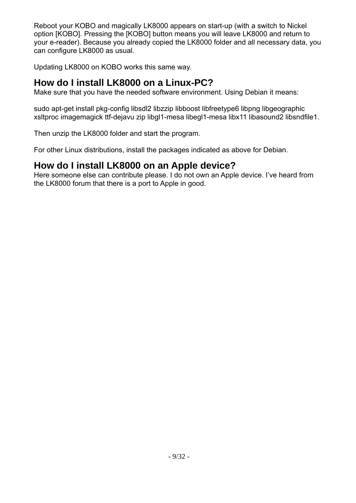Reboot your KOBO and magically LK8000 appears on start-up (with a switch to Nickel option [KOBO]. Pressing the [KOBO] button means you will leave LK8000 and return to your e-reader). Because you already copied the LK8000 folder and all necessary data, you can configure LK8000 as usual.

Updating LK8000 on KOBO works this same way.

#### <span id="page-8-1"></span>**How do I install LK8000 on a Linux-PC?**

Make sure that you have the needed software environment. Using Debian it means:

sudo apt-get install pkg-config libsdl2 libzzip libboost libfreetype6 libpng libgeographic xsltproc imagemagick ttf-dejavu zip libgl1-mesa libegl1-mesa libx11 libasound2 libsndfile1.

Then unzip the LK8000 folder and start the program.

For other Linux distributions, install the packages indicated as above for Debian.

#### <span id="page-8-0"></span>**How do I install LK8000 on an Apple device?**

Here someone else can contribute please. I do not own an Apple device. I've heard from the LK8000 forum that there is a port to Apple in good.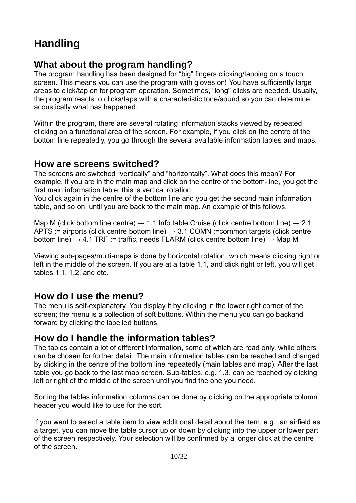## <span id="page-9-4"></span>**Handling**

## <span id="page-9-3"></span>**What about the program handling?**

The program handling has been designed for "big" fingers clicking/tapping on a touch screen. This means you can use the program with gloves on! You have sufficiently large areas to click/tap on for program operation. Sometimes, "long" clicks are needed. Usually, the program reacts to clicks/taps with a characteristic tone/sound so you can determine acoustically what has happened.

Within the program, there are several rotating information stacks viewed by repeated clicking on a functional area of the screen. For example, if you click on the centre of the bottom line repeatedly, you go through the several available information tables and maps.

#### <span id="page-9-2"></span>**How are screens switched?**

The screens are switched "vertically" and "horizontally". What does this mean? For example, if you are in the main map and click on the centre of the bottom-line, you get the first main information table; this is vertical rotation

You click again in the centre of the bottom line and you get the second main information table, and so on, until you are back to the main map. An example of this follows.

Map M (click bottom line centre)  $\rightarrow$  1.1 Info table Cruise (click centre bottom line)  $\rightarrow$  2.1 APTS := airports (click centre bottom line)  $\rightarrow$  3.1 COMN := common targets (click centre bottom line)  $\rightarrow$  4.1 TRF := traffic, needs FLARM (click centre bottom line)  $\rightarrow$  Map M

Viewing sub-pages/multi-maps is done by horizontal rotation, which means clicking right or left in the middle of the screen. If you are at a table 1.1, and click right or left, you will get tables 1.1, 1.2, and etc.

#### <span id="page-9-1"></span>**How do I use the menu?**

The menu is self-explanatory. You display it by clicking in the lower right corner of the screen; the menu is a collection of soft buttons. Within the menu you can go backand forward by clicking the labelled buttons.

#### <span id="page-9-0"></span>**How do I handle the information tables?**

The tables contain a lot of different information, some of which are read only, while others can be chosen for further detail. The main information tables can be reached and changed by clicking in the centre of the bottom line repeatedly (main tables and map). After the last table you go back to the last map screen. Sub-tables, e.g. 1.3, can be reached by clicking left or right of the middle of the screen until you find the one you need.

Sorting the tables information columns can be done by clicking on the appropriate column header you would like to use for the sort.

If you want to select a table item to view additional detail about the item, e.g. an airfield as a target, you can move the table cursor up or down by clicking into the upper or lower part of the screen respectively. Your selection will be confirmed by a longer click at the centre of the screen.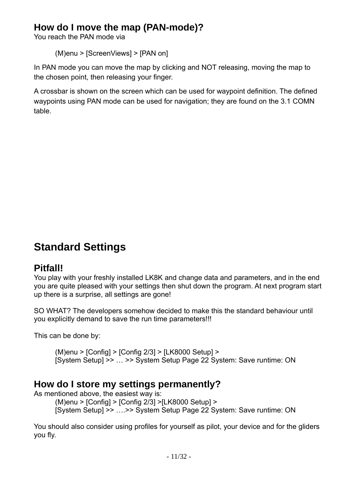## <span id="page-10-3"></span>**How do I move the map (PAN-mode)?**

You reach the PAN mode via

(M)enu > [ScreenViews] > [PAN on]

In PAN mode you can move the map by clicking and NOT releasing, moving the map to the chosen point, then releasing your finger.

A crossbar is shown on the screen which can be used for waypoint definition. The defined waypoints using PAN mode can be used for navigation; they are found on the 3.1 COMN table.

## <span id="page-10-2"></span>**Standard Settings**

## <span id="page-10-1"></span>**Pitfall!**

You play with your freshly installed LK8K and change data and parameters, and in the end you are quite pleased with your settings then shut down the program. At next program start up there is a surprise, all settings are gone!

SO WHAT? The developers somehow decided to make this the standard behaviour until you explicitly demand to save the run time parameters!!!

This can be done by:

(M)enu > [Config] > [Config 2/3] > [LK8000 Setup] > [System Setup] >> … >> System Setup Page 22 System: Save runtime: ON

## <span id="page-10-0"></span>**How do I store my settings permanently?**

As mentioned above, the easiest way is:

(M)enu > [Config] > [Config 2/3] >[LK8000 Setup] > [System Setup] >> ….>> System Setup Page 22 System: Save runtime: ON

You should also consider using profiles for yourself as pilot, your device and for the gliders you fly.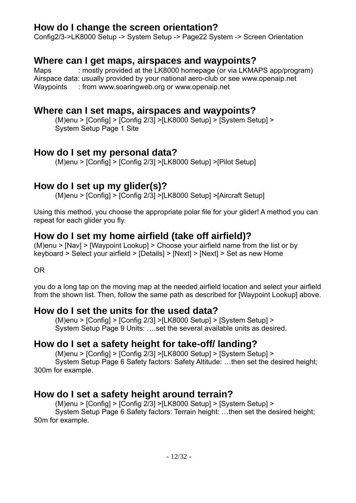#### <span id="page-11-8"></span>**How do I change the screen orientation?**

Config2/3->LK8000 Setup -> System Setup -> Page22 System -> Screen Orientation

#### <span id="page-11-7"></span>**Where can I get maps, airspaces and waypoints?**

Maps : mostly provided at the LK8000 homepage (or via LKMAPS app/program) Airspace data: usually provided by your national aero-club or see www.openaip.net Waypoints : from www.soaringweb.org or www.openaip.net

#### <span id="page-11-6"></span>**Where can I set maps, airspaces and waypoints?**

(M)enu > [Config] > [Config 2/3] >[LK8000 Setup] > [System Setup] > System Setup Page 1 Site

#### <span id="page-11-5"></span>**How do I set my personal data?**

(M)enu > [Config] > [Config 2/3] >[LK8000 Setup] >[Pilot Setup]

## <span id="page-11-4"></span>**How do I set up my glider(s)?**

(M)enu > [Config] > [Config 2/3] >[LK8000 Setup] >[Aircraft Setup]

Using this method, you choose the appropriate polar file for your glider! A method you can repeat for each glider you fly.

## <span id="page-11-3"></span>**How do I set my home airfield (take off airfield)?**

(M)enu > [Nav] > [Waypoint Lookup] > Choose your airfield name from the list or by keyboard > Select your airfield > [Details] > [Next] > [Next] > Set as new Home

OR

you do a long tap on the moving map at the needed airfield location and select your airfield from the shown list. Then, follow the same path as described for [Waypoint Lookup] above.

#### <span id="page-11-2"></span>**How do I set the units for the used data?**

(M)enu > [Config] > [Config 2/3] >[LK8000 Setup] > [System Setup] > System Setup Page 9 Units: ….set the several available units as desired.

#### <span id="page-11-1"></span>**How do I set a safety height for take-off/ landing?**

(M)enu > [Config] > [Config 2/3] >[LK8000 Setup] > [System Setup] > System Setup Page 6 Safety factors: Safety Altitude: …then set the desired height; 300m for example.

#### <span id="page-11-0"></span>**How do I set a safety height around terrain?**

(M)enu > [Config] > [Config 2/3] >[LK8000 Setup] > [System Setup] > System Setup Page 6 Safety factors: Terrain height: …then set the desired height; 50m for example.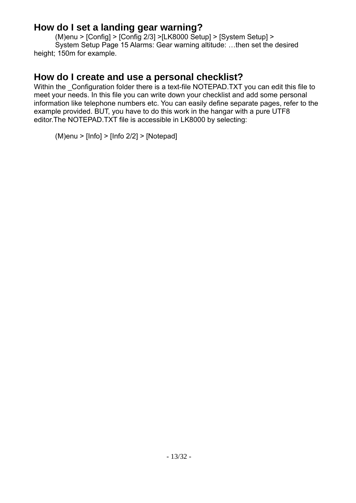## <span id="page-12-1"></span>**How do I set a landing gear warning?**

(M)enu > [Config] > [Config 2/3] >[LK8000 Setup] > [System Setup] > System Setup Page 15 Alarms: Gear warning altitude: …then set the desired height; 150m for example.

#### <span id="page-12-0"></span>**How do I create and use a personal checklist?**

Within the Configuration folder there is a text-file NOTEPAD.TXT you can edit this file to meet your needs. In this file you can write down your checklist and add some personal information like telephone numbers etc. You can easily define separate pages, refer to the example provided. BUT, you have to do this work in the hangar with a pure UTF8 editor.The NOTEPAD.TXT file is accessible in LK8000 by selecting:

(M)enu > [Info] > [Info 2/2] > [Notepad]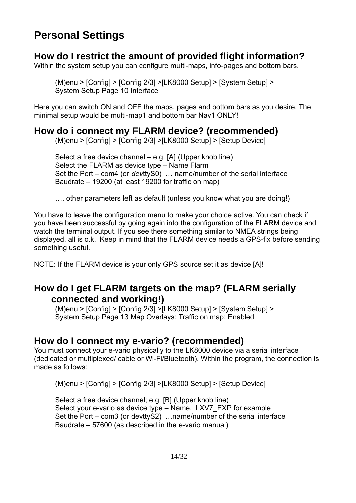## <span id="page-13-4"></span>**Personal Settings**

### <span id="page-13-3"></span>**How do I restrict the amount of provided flight information?**

Within the system setup you can configure multi-maps, info-pages and bottom bars.

(M)enu > [Config] > [Config 2/3] >[LK8000 Setup] > [System Setup] > System Setup Page 10 Interface

Here you can switch ON and OFF the maps, pages and bottom bars as you desire. The minimal setup would be multi-map1 and bottom bar Nav1 ONLY!

### <span id="page-13-2"></span>**How do i connect my FLARM device? (recommended)**

(M)enu > [Config] > [Config 2/3] >[LK8000 Setup] > [Setup Device]

Select a free device channel – e.g. [A] (Upper knob line) Select the FLARM as device type – Name Flarm Set the Port – com4 (or *dev*ttyS0) … name/number of the serial interface Baudrate – 19200 (at least 19200 for traffic on map)

…. other parameters left as default (unless you know what you are doing!)

You have to leave the configuration menu to make your choice active. You can check if you have been successful by going again into the configuration of the FLARM device and watch the terminal output. If you see there something similar to NMEA strings being displayed, all is o.k. Keep in mind that the FLARM device needs a GPS-fix before sending something useful.

NOTE: If the FLARM device is your only GPS source set it as device [A]!

#### <span id="page-13-1"></span>**How do I get FLARM targets on the map? (FLARM serially connected and working!)**

 $(M)$ enu >  $[Config]$  >  $[Config 2/3]$  > $[LK8000$  Setup $]$  >  $[S$ ystem Setup $]$  > System Setup Page 13 Map Overlays: Traffic on map: Enabled

## <span id="page-13-0"></span>**How do I connect my e-vario? (recommended)**

You must connect your e-vario physically to the LK8000 device via a serial interface (dedicated or multiplexed/ cable or Wi-Fi/Bluetooth). Within the program, the connection is made as follows:

(M)enu > [Config] > [Config 2/3] >[LK8000 Setup] > [Setup Device]

Select a free device channel; e.g. [B] (Upper knob line) Select your e-vario as device type – Name, LXV7 EXP for example Set the Port – com3 (or devttyS2) …name/number of the serial interface Baudrate – 57600 (as described in the e-vario manual)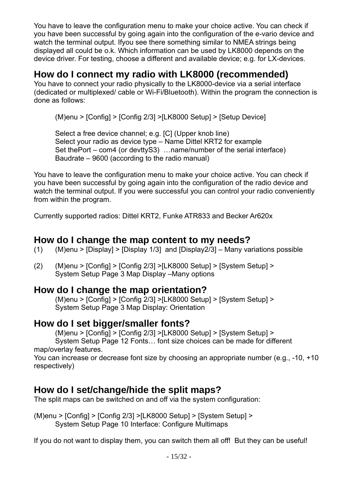You have to leave the configuration menu to make your choice active. You can check if you have been successful by going again into the configuration of the e-vario device and watch the terminal output. Ifyou see there something similar to NMEA strings being displayed all could be o.k. Which information can be used by LK8000 depends on the device driver. For testing, choose a different and available device; e.g. for LX-devices.

#### <span id="page-14-4"></span>**How do I connect my radio with LK8000 (recommended)**

You have to connect your radio physically to the LK8000-device via a serial interface (dedicated or multiplexed/ cable or Wi-Fi/Bluetooth). Within the program the connection is done as follows:

(M)enu > [Config] > [Config 2/3] >[LK8000 Setup] > [Setup Device]

Select a free device channel; e.g. [C] (Upper knob line) Select your radio as device type – Name Dittel KRT2 for example Set thePort – com4 (or devttyS3) …name/number of the serial interface) Baudrate – 9600 (according to the radio manual)

You have to leave the configuration menu to make your choice active. You can check if you have been successful by going again into the configuration of the radio device and watch the terminal output. If you were successful you can control your radio conveniently from within the program.

Currently supported radios: Dittel KRT2, Funke ATR833 and Becker Ar620x

#### <span id="page-14-3"></span>**How do I change the map content to my needs?**

- (1) (M)enu > [Display] > [Display 1/3] and [Display2/3] Many variations possible
- (2) (M)enu > [Config] > [Config 2/3] >[LK8000 Setup] > [System Setup] > System Setup Page 3 Map Display –Many options

#### <span id="page-14-2"></span>**How do I change the map orientation?**

 $(M)$ enu >  $[Confiq]$  >  $[Confiq 2/3]$  > $[LK8000$  Setup $]$  >  $[System Setup]$  > System Setup Page 3 Map Display: Orientation

## <span id="page-14-1"></span>**How do I set bigger/smaller fonts?**

(M)enu > [Config] > [Config 2/3] >[LK8000 Setup] > [System Setup] > System Setup Page 12 Fonts… font size choices can be made for different

map/overlay features.

You can increase or decrease font size by choosing an appropriate number (e.g., -10, +10 respectively)

## <span id="page-14-0"></span>**How do I set/change/hide the split maps?**

The split maps can be switched on and off via the system configuration:

(M)enu > [Config] > [Config 2/3] >[LK8000 Setup] > [System Setup] > System Setup Page 10 Interface: Configure Multimaps

If you do not want to display them, you can switch them all off! But they can be useful!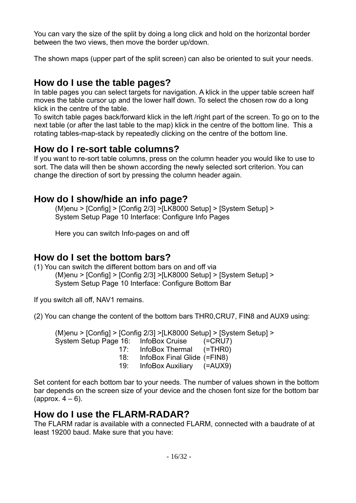You can vary the size of the split by doing a long click and hold on the horizontal border between the two views, then move the border up/down.

The shown maps (upper part of the split screen) can also be oriented to suit your needs.

## <span id="page-15-4"></span>**How do I use the table pages?**

In table pages you can select targets for navigation. A klick in the upper table screen half moves the table cursor up and the lower half down. To select the chosen row do a long klick in the centre of the table.

To switch table pages back/forward klick in the left /right part of the screen. To go on to the next table (or after the last table to the map) klick in the centre of the bottom line. This a rotating tables-map-stack by repeatedly clicking on the centre of the bottom line.

## <span id="page-15-3"></span>**How do I re-sort table columns?**

If you want to re-sort table columns, press on the column header you would like to use to sort. The data will then be shown according the newly selected sort criterion. You can change the direction of sort by pressing the column header again.

#### <span id="page-15-2"></span>**How do I show/hide an info page?**

(M)enu > [Config] > [Config 2/3] >[LK8000 Setup] > [System Setup] > System Setup Page 10 Interface: Configure Info Pages

Here you can switch Info-pages on and off

#### <span id="page-15-1"></span>**How do I set the bottom bars?**

(1) You can switch the different bottom bars on and off via (M)enu > [Config] > [Config 2/3] >[LK8000 Setup] > [System Setup] > System Setup Page 10 Interface: Configure Bottom Bar

If you switch all off, NAV1 remains.

(2) You can change the content of the bottom bars THR0,CRU7, FIN8 and AUX9 using:

(M)enu > [Config] > [Config 2/3] >[LK8000 Setup] > [System Setup] > System Setup Page 16: InfoBox Cruise (=CRU7) 17: InfoBox Thermal (=THR0) 18: InfoBox Final Glide (=FIN8) 19: InfoBox Auxiliary (=AUX9)

Set content for each bottom bar to your needs. The number of values shown in the bottom bar depends on the screen size of your device and the chosen font size for the bottom bar (approx.  $4-6$ ).

#### <span id="page-15-0"></span>**How do I use the FLARM-RADAR?**

The FLARM radar is available with a connected FLARM, connected with a baudrate of at least 19200 baud. Make sure that you have: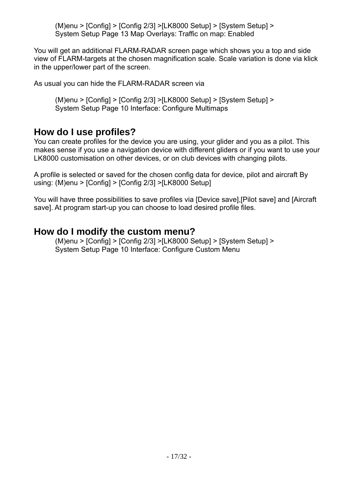(M)enu > [Config] > [Config 2/3] >[LK8000 Setup] > [System Setup] > System Setup Page 13 Map Overlays: Traffic on map: Enabled

You will get an additional FLARM-RADAR screen page which shows you a top and side view of FLARM-targets at the chosen magnification scale. Scale variation is done via klick in the upper/lower part of the screen.

As usual you can hide the FLARM-RADAR screen via

(M)enu > [Config] > [Config 2/3] >[LK8000 Setup] > [System Setup] > System Setup Page 10 Interface: Configure Multimaps

#### <span id="page-16-1"></span>**How do I use profiles?**

You can create profiles for the device you are using, your glider and you as a pilot. This makes sense if you use a navigation device with different gliders or if you want to use your LK8000 customisation on other devices, or on club devices with changing pilots.

A profile is selected or saved for the chosen config data for device, pilot and aircraft By using: (M)enu > [Config] > [Config 2/3] >[LK8000 Setup]

You will have three possibilities to save profiles via [Device save],[Pilot save] and [Aircraft save]. At program start-up you can choose to load desired profile files.

#### <span id="page-16-0"></span>**How do I modify the custom menu?**

(M)enu > [Config] > [Config 2/3] >[LK8000 Setup] > [System Setup] > System Setup Page 10 Interface: Configure Custom Menu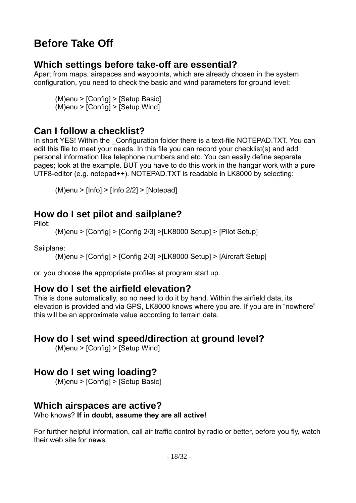## <span id="page-17-7"></span>**Before Take Off**

## <span id="page-17-6"></span>**Which settings before take-off are essential?**

Apart from maps, airspaces and waypoints, which are already chosen in the system configuration, you need to check the basic and wind parameters for ground level:

(M)enu > [Config] > [Setup Basic] (M)enu > [Config] > [Setup Wind]

## <span id="page-17-5"></span>**Can I follow a checklist?**

In short YES! Within the Configuration folder there is a text-file NOTEPAD.TXT. You can edit this file to meet your needs. In this file you can record your checklist(s) and add personal information like telephone numbers and etc. You can easily define separate pages; look at the example. BUT you have to do this work in the hangar work with a pure UTF8-editor (e.g. notepad++). NOTEPAD.TXT is readable in LK8000 by selecting:

(M)enu > [Info] > [Info 2/2] > [Notepad]

## <span id="page-17-4"></span>**How do I set pilot and sailplane?**

Pilot:

(M)enu > [Config] > [Config 2/3] >[LK8000 Setup] > [Pilot Setup]

Sailplane:

(M)enu > [Config] > [Config 2/3] >[LK8000 Setup] > [Aircraft Setup]

or, you choose the appropriate profiles at program start up.

#### <span id="page-17-3"></span>**How do I set the airfield elevation?**

This is done automatically, so no need to do it by hand. Within the airfield data, its elevation is provided and via GPS, LK8000 knows where you are. If you are in "nowhere" this will be an approximate value according to terrain data.

## <span id="page-17-2"></span>**How do I set wind speed/direction at ground level?**

(M)enu > [Config] > [Setup Wind]

## <span id="page-17-1"></span>**How do I set wing loading?**

(M)enu > [Config] > [Setup Basic]

#### <span id="page-17-0"></span>**Which airspaces are active?**

Who knows? **If in doubt, assume they are all active!**

For further helpful information, call air traffic control by radio or better, before you fly, watch their web site for news.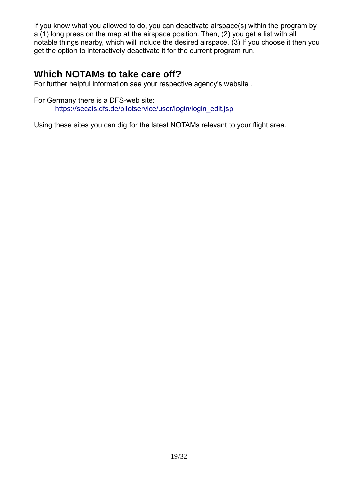If you know what you allowed to do, you can deactivate airspace(s) within the program by a (1) long press on the map at the airspace position. Then, (2) you get a list with all notable things nearby, which will include the desired airspace. (3) If you choose it then you get the option to interactively deactivate it for the current program run.

#### <span id="page-18-0"></span>**Which NOTAMs to take care off?**

For further helpful information see your respective agency's website .

For Germany there is a DFS-web site: [https://secais.dfs.de/pilotservice/user/login/login\\_edit.jsp](https://secais.dfs.de/pilotservice/user/login/login_edit.jsp)

Using these sites you can dig for the latest NOTAMs relevant to your flight area.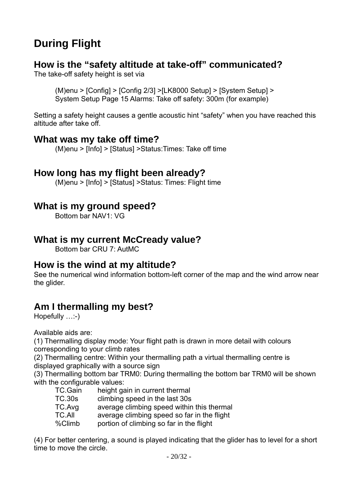## <span id="page-19-7"></span>**During Flight**

#### <span id="page-19-6"></span>**How is the "safety altitude at take-off" communicated?**

The take-off safety height is set via

(M)enu > [Config] > [Config 2/3] >[LK8000 Setup] > [System Setup] > System Setup Page 15 Alarms: Take off safety: 300m (for example)

Setting a safety height causes a gentle acoustic hint "safety" when you have reached this altitude after take off.

#### <span id="page-19-5"></span>**What was my take off time?**

(M)enu > [Info] > [Status] >Status:Times: Take off time

#### <span id="page-19-4"></span>**How long has my flight been already?**

(M)enu > [Info] > [Status] >Status: Times: Flight time

## <span id="page-19-3"></span>**What is my ground speed?**

Bottom bar NAV1: VG

#### <span id="page-19-2"></span>**What is my current McCready value?**

Bottom bar CRU 7: AutMC

#### <span id="page-19-1"></span>**How is the wind at my altitude?**

See the numerical wind information bottom-left corner of the map and the wind arrow near the glider.

## <span id="page-19-0"></span>**Am I thermalling my best?**

Hopefully …:-)

Available aids are:

(1) Thermalling display mode: Your flight path is drawn in more detail with colours corresponding to your climb rates

(2) Thermalling centre: Within your thermalling path a virtual thermalling centre is displayed graphically with a source sign

(3) Thermalling bottom bar TRM0: During thermalling the bottom bar TRM0 will be shown with the configurable values:

- TC.Gain height gain in current thermal
- TC.30s climbing speed in the last 30s

TC.Avg average climbing speed within this thermal

TC.All average climbing speed so far in the flight

%Climb portion of climbing so far in the flight

(4) For better centering, a sound is played indicating that the glider has to level for a short time to move the circle.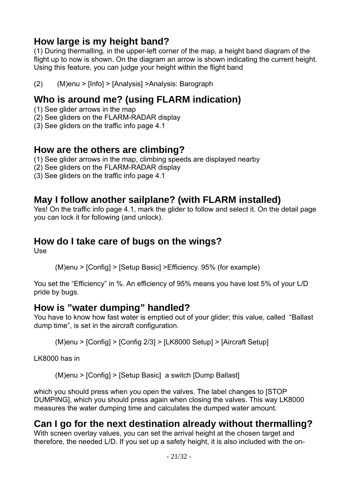## <span id="page-20-6"></span>**How large is my height band?**

(1) During thermalling, in the upper-left corner of the map, a height band diagram of the flight up to now is shown. On the diagram an arrow is shown indicating the current height. Using this feature, you can judge your height within the flight band

(2) (M)enu > [Info] > [Analysis] >Analysis: Barograph

## <span id="page-20-5"></span>**Who is around me? (using FLARM indication)**

- (1) See glider arrows in the map
- (2) See gliders on the FLARM-RADAR display
- (3) See gliders on the traffic info page 4.1

#### <span id="page-20-4"></span>**How are the others are climbing?**

- (1) See glider arrows in the map, climbing speeds are displayed nearby
- (2) See gliders on the FLARM-RADAR display
- (3) See gliders on the traffic info page 4.1

## <span id="page-20-3"></span>**May I follow another sailplane? (with FLARM installed)**

Yes! On the traffic info page 4.1, mark the glider to follow and select it. On the detail page you can lock it for following (and unlock).

## <span id="page-20-2"></span>**How do I take care of bugs on the wings?**

Use

(M)enu > [Config] > [Setup Basic] >Efficiency. 95% (for example)

You set the "Efficiency" in %. An efficiency of 95% means you have lost 5% of your L/D pride by bugs.

#### <span id="page-20-1"></span>**How is "water dumping" handled?**

You have to know how fast water is emptied out of your glider; this value, called "Ballast dump time", is set in the aircraft configuration.

(M)enu > [Config] > [Config 2/3] > [LK8000 Setup] > [Aircraft Setup]

LK8000 has in

(M)enu > [Config] > [Setup Basic] a switch [Dump Ballast]

which you should press when you open the valves. The label changes to [STOP DUMPING], which you should press again when closing the valves. This way LK8000 measures the water dumping time and calculates the dumped water amount.

## <span id="page-20-0"></span>**Can I go for the next destination already without thermalling?**

With screen overlay values, you can set the arrival height at the chosen target and therefore, the needed L/D. If you set up a safety height, it is also included with the on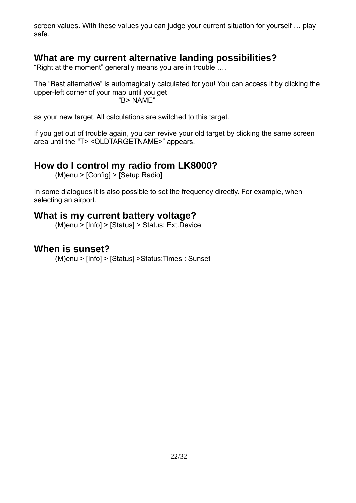screen values. With these values you can judge your current situation for yourself … play safe.

## <span id="page-21-3"></span>**What are my current alternative landing possibilities?**

"Right at the moment" generally means you are in trouble ….

The "Best alternative" is automagically calculated for you! You can access it by clicking the upper-left corner of your map until you get "B> NAME"

as your new target. All calculations are switched to this target.

If you get out of trouble again, you can revive your old target by clicking the same screen area until the "T> <OLDTARGETNAME>" appears.

## <span id="page-21-2"></span>**How do I control my radio from LK8000?**

(M)enu > [Config] > [Setup Radio]

In some dialogues it is also possible to set the frequency directly. For example, when selecting an airport.

#### <span id="page-21-1"></span>**What is my current battery voltage?**

(M)enu > [Info] > [Status] > Status: Ext.Device

#### <span id="page-21-0"></span>**When is sunset?**

(M)enu > [Info] > [Status] >Status:Times : Sunset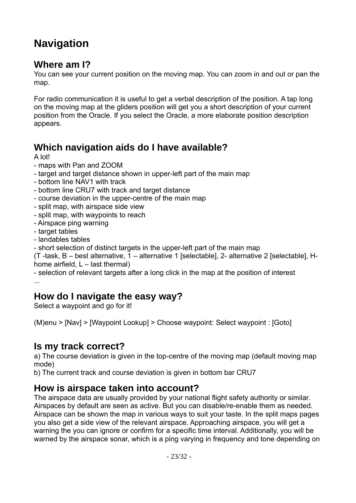## <span id="page-22-5"></span>**Navigation**

#### <span id="page-22-4"></span>**Where am I?**

You can see your current position on the moving map. You can zoom in and out or pan the map.

For radio communication it is useful to get a verbal description of the position. A tap long on the moving map at the gliders position will get you a short description of your current position from the Oracle. If you select the Oracle, a more elaborate position description appears.

## <span id="page-22-3"></span>**Which navigation aids do I have available?**

A lot!

- maps with Pan and ZOOM
- target and target distance shown in upper-left part of the main map
- bottom line NAV1 with track
- bottom line CRU7 with track and target distance
- course deviation in the upper-centre of the main map
- split map, with airspace side view
- split map, with waypoints to reach
- Airspace ping warning
- target tables
- landables tables
- short selection of distinct targets in the upper-left part of the main map

(T -task, B – best alternative, 1 – alternative 1 [selectable], 2- alternative 2 [selectable], Hhome airfield,  $L -$  last thermal)

- selection of relevant targets after a long click in the map at the position of interest ...

## <span id="page-22-2"></span>**How do I navigate the easy way?**

Select a waypoint and go for it!

(M)enu > [Nav] > [Waypoint Lookup] > Choose waypoint: Select waypoint : [Goto]

#### <span id="page-22-1"></span>**Is my track correct?**

a) The course deviation is given in the top-centre of the moving map (default moving map mode)

b) The current track and course deviation is given in bottom bar CRU7

## <span id="page-22-0"></span>**How is airspace taken into account?**

The airspace data are usually provided by your national flight safety authority or similar. Airspaces by default are seen as active. But you can disable/re-enable them as needed. Airspace can be shown the map in various ways to suit your taste. In the split maps pages you also get a side view of the relevant airspace. Approaching airspace, you will get a warning the you can ignore or confirm for a specific time interval. Additionally, you will be warned by the airspace sonar, which is a ping varying in frequency and tone depending on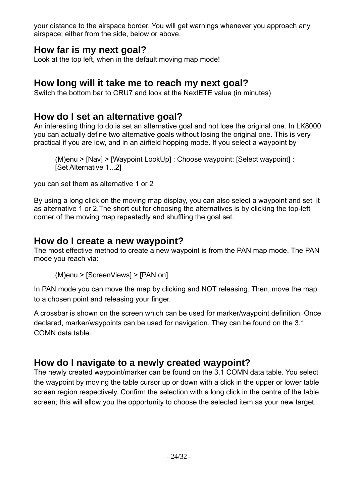your distance to the airspace border. You will get warnings whenever you approach any airspace; either from the side, below or above.

## <span id="page-23-4"></span>**How far is my next goal?**

Look at the top left, when in the default moving map mode!

## <span id="page-23-3"></span>**How long will it take me to reach my next goal?**

Switch the bottom bar to CRU7 and look at the NextETE value (in minutes)

## <span id="page-23-2"></span>**How do I set an alternative goal?**

An interesting thing to do is set an alternative goal and not lose the original one. In LK8000 you can actually define two alternative goals without losing the original one. This is very practical if you are low, and in an airfield hopping mode. If you select a waypoint by

(M)enu > [Nav] > [Waypoint LookUp] : Choose waypoint: [Select waypoint] : [Set Alternative 1...2]

you can set them as alternative 1 or 2

By using a long click on the moving map display, you can also select a waypoint and set it as alternative 1 or 2.The short cut for choosing the alternatives is by clicking the top-left corner of the moving map repeatedly and shuffling the goal set.

## <span id="page-23-1"></span>**How do I create a new waypoint?**

The most effective method to create a new waypoint is from the PAN map mode. The PAN mode you reach via:

(M)enu > [ScreenViews] > [PAN on]

In PAN mode you can move the map by clicking and NOT releasing. Then, move the map to a chosen point and releasing your finger.

A crossbar is shown on the screen which can be used for marker/waypoint definition. Once declared, marker/waypoints can be used for navigation. They can be found on the 3.1 COMN data table.

## <span id="page-23-0"></span>**How do I navigate to a newly created waypoint?**

The newly created waypoint/marker can be found on the 3.1 COMN data table. You select the waypoint by moving the table cursor up or down with a click in the upper or lower table screen region respectively. Confirm the selection with a long click in the centre of the table screen; this will allow you the opportunity to choose the selected item as your new target.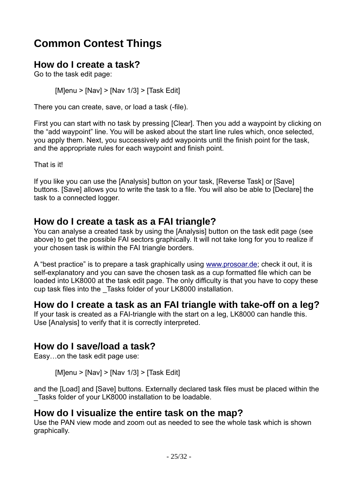## <span id="page-24-0"></span>**Common Contest Things**

## <span id="page-24-5"></span>**How do I create a task?**

Go to the task edit page:

[M]enu > [Nav] > [Nav 1/3] > [Task Edit]

There you can create, save, or load a task (-file).

First you can start with no task by pressing [Clear]. Then you add a waypoint by clicking on the "add waypoint" line. You will be asked about the start line rules which, once selected, you apply them. Next, you successively add waypoints until the finish point for the task, and the appropriate rules for each waypoint and finish point.

That is it!

If you like you can use the [Analysis] button on your task, [Reverse Task] or [Save] buttons. [Save] allows you to write the task to a file. You will also be able to [Declare] the task to a connected logger.

## <span id="page-24-4"></span>**How do I create a task as a FAI triangle?**

You can analyse a created task by using the [Analysis] button on the task edit page (see above) to get the possible FAI sectors graphically. It will not take long for you to realize if your chosen task is within the FAI triangle borders.

A "best practice" is to prepare a task graphically using [www.prosoar.de](http://www.prosoar.de/); check it out, it is self-explanatory and you can save the chosen task as a cup formatted file which can be loaded into LK8000 at the task edit page. The only difficulty is that you have to copy these cup task files into the \_Tasks folder of your LK8000 installation.

## <span id="page-24-3"></span>**How do I create a task as an FAI triangle with take-off on a leg?**

If your task is created as a FAI-triangle with the start on a leg, LK8000 can handle this. Use [Analysis] to verify that it is correctly interpreted.

## <span id="page-24-2"></span>**How do I save/load a task?**

Easy…on the task edit page use:

[M]enu > [Nav] > [Nav 1/3] > [Task Edit]

and the [Load] and [Save] buttons. Externally declared task files must be placed within the \_Tasks folder of your LK8000 installation to be loadable.

## <span id="page-24-1"></span>**How do I visualize the entire task on the map?**

Use the PAN view mode and zoom out as needed to see the whole task which is shown graphically.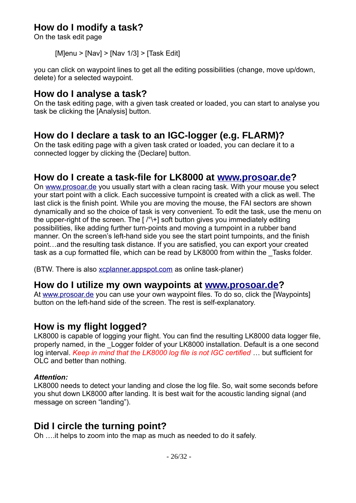## <span id="page-25-6"></span>**How do I modify a task?**

On the task edit page

 $[Mlenu > [Nav] > [Nav 1/3] > [Task Edit]$ 

you can click on waypoint lines to get all the editing possibilities (change, move up/down, delete) for a selected waypoint.

#### <span id="page-25-5"></span>**How do I analyse a task?**

On the task editing page, with a given task created or loaded, you can start to analyse you task be clicking the [Analysis] button.

#### <span id="page-25-4"></span>**How do I declare a task to an IGC-logger (e.g. FLARM)?**

On the task editing page with a given task crated or loaded, you can declare it to a connected logger by clicking the {Declare] button.

#### <span id="page-25-3"></span>**How do I create a task-file for LK8000 at [www.prosoar.de?](http://www.prosoar.de/)**

On [www.prosoar.de](http://www.prosoar.de/) you usually start with a clean racing task. With your mouse you select your start point with a click. Each successive turnpoint is created with a click as well. The last click is the finish point. While you are moving the mouse, the FAI sectors are shown dynamically and so the choice of task is very convenient. To edit the task, use the menu on the upper-right of the screen. The  $\lceil \frac{1}{2} \rceil$  soft button gives you immediately editing possibilities, like adding further turn-points and moving a turnpoint in a rubber band manner. On the screen's left-hand side you see the start point turnpoints, and the finish point…and the resulting task distance. If you are satisfied, you can export your created task as a cup formatted file, which can be read by LK8000 from within the Tasks folder.

(BTW. There is also [xcplanner.appspot.com](https://xcplanner.appspot.com/) as online task-planer)

#### <span id="page-25-2"></span>**How do I utilize my own waypoints at [www.prosoar.de](http://www.prosoar.de/)?**

At [www.prosoar.de](http://www.prosoar.de/) you can use your own waypoint files. To do so, click the [Waypoints] button on the left-hand side of the screen. The rest is self-explanatory.

#### <span id="page-25-1"></span>**How is my flight logged?**

LK8000 is capable of logging your flight. You can find the resulting LK8000 data logger file, properly named, in the \_Logger folder of your LK8000 installation. Default is a one second log interval. *Keep in mind that the LK8000 log file is not IGC certified* … but sufficient for OLC and better than nothing.

#### *Attention:*

LK8000 needs to detect your landing and close the log file. So, wait some seconds before you shut down LK8000 after landing. It is best wait for the acoustic landing signal (and message on screen "landing").

## <span id="page-25-0"></span>**Did I circle the turning point?**

Oh ….it helps to zoom into the map as much as needed to do it safely.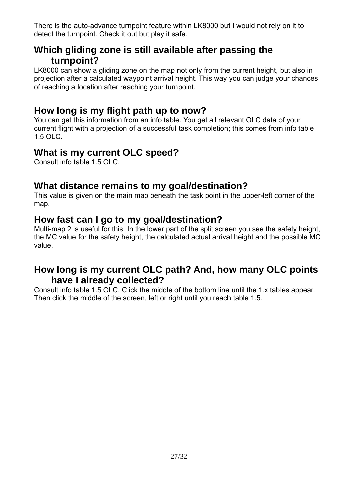There is the auto-advance turnpoint feature within LK8000 but I would not rely on it to detect the turnpoint. Check it out but play it safe.

## <span id="page-26-5"></span>**Which gliding zone is still available after passing the turnpoint?**

LK8000 can show a gliding zone on the map not only from the current height, but also in projection after a calculated waypoint arrival height. This way you can judge your chances of reaching a location after reaching your turnpoint.

## <span id="page-26-4"></span>**How long is my flight path up to now?**

You can get this information from an info table. You get all relevant OLC data of your current flight with a projection of a successful task completion; this comes from info table 1.5 OLC.

## <span id="page-26-3"></span>**What is my current OLC speed?**

Consult info table 1.5 OLC.

## <span id="page-26-2"></span>**What distance remains to my goal/destination?**

This value is given on the main map beneath the task point in the upper-left corner of the map.

## <span id="page-26-1"></span>**How fast can I go to my goal/destination?**

Multi-map 2 is useful for this. In the lower part of the split screen you see the safety height, the MC value for the safety height, the calculated actual arrival height and the possible MC value.

## <span id="page-26-0"></span>**How long is my current OLC path? And, how many OLC points have I already collected?**

Consult info table 1.5 OLC. Click the middle of the bottom line until the 1.x tables appear. Then click the middle of the screen, left or right until you reach table 1.5.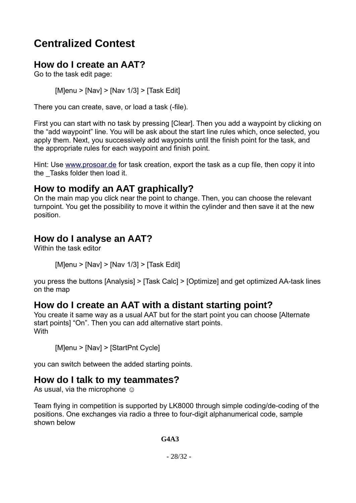## <span id="page-27-5"></span>**Centralized Contest**

## <span id="page-27-4"></span>**How do I create an AAT?**

Go to the task edit page:

[M]enu > [Nav] > [Nav 1/3] > [Task Edit]

There you can create, save, or load a task (-file).

First you can start with no task by pressing [Clear]. Then you add a waypoint by clicking on the "add waypoint" line. You will be ask about the start line rules which, once selected, you apply them. Next, you successively add waypoints until the finish point for the task, and the appropriate rules for each waypoint and finish point.

Hint: Use [www.prosoar.de](http://www.prosoar.de/) for task creation, export the task as a cup file, then copy it into the Tasks folder then load it.

## <span id="page-27-3"></span>**How to modify an AAT graphically?**

On the main map you click near the point to change. Then, you can choose the relevant turnpoint. You get the possibility to move it within the cylinder and then save it at the new position.

## <span id="page-27-2"></span>**How do I analyse an AAT?**

Within the task editor

 $[M]$ enu >  $[NaV]$  >  $[NaV 1/3]$  >  $[Task Edit]$ 

you press the buttons [Analysis] > [Task Calc] > [Optimize] and get optimized AA-task lines on the map

#### <span id="page-27-1"></span>**How do I create an AAT with a distant starting point?**

You create it same way as a usual AAT but for the start point you can choose [Alternate start points] "On". Then you can add alternative start points. **With** 

[M]enu > [Nav] > [StartPnt Cycle]

you can switch between the added starting points.

#### <span id="page-27-0"></span>**How do I talk to my teammates?**

As usual, via the microphone  $\odot$ 

Team flying in competition is supported by LK8000 through simple coding/de-coding of the positions. One exchanges via radio a three to four-digit alphanumerical code, sample shown below

**G4A3**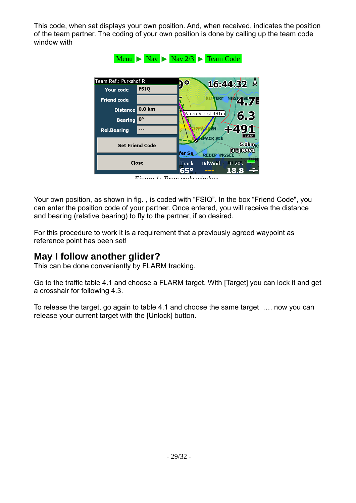This code, when set displays your own position. And, when received, indicates the position of the team partner. The coding of your own position is done by calling up the team code window with



*Figure 1: Team code window*

Your own position, as shown in fig. [,](#page-31-1) is coded with "FSIQ". In the box "Friend Code", you can enter the position code of your partner. Once entered, you will receive the distance and bearing (relative bearing) to fly to the partner, if so desired.

For this procedure to work it is a requirement that a previously agreed waypoint as reference point has been set!

## <span id="page-28-0"></span>**May I follow another glider?**

This can be done conveniently by FLARM tracking.

Go to the traffic table 4.1 and choose a FLARM target. With [Target] you can lock it and get a crosshair for following 4.3.

To release the target, go again to table 4.1 and choose the same target …. now you can release your current target with the [Unlock] button.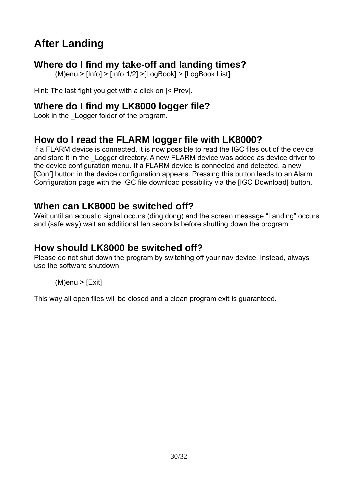## <span id="page-29-5"></span>**After Landing**

## <span id="page-29-4"></span>**Where do I find my take-off and landing times?**

(M)enu > [Info] > [Info 1/2] >[LogBook] > [LogBook List]

Hint: The last fight you get with a click on [< Prev].

## <span id="page-29-3"></span>**Where do I find my LK8000 logger file?**

Look in the Logger folder of the program.

## <span id="page-29-2"></span>**How do I read the FLARM logger file with LK8000?**

If a FLARM device is connected, it is now possible to read the IGC files out of the device and store it in the Logger directory. A new FLARM device was added as device driver to the device configuration menu. If a FLARM device is connected and detected, a new [Conf] button in the device configuration appears. Pressing this button leads to an Alarm Configuration page with the IGC file download possibility via the [IGC Download] button.

## <span id="page-29-1"></span>**When can LK8000 be switched off?**

Wait until an acoustic signal occurs (ding dong) and the screen message "Landing" occurs and (safe way) wait an additional ten seconds before shutting down the program.

## <span id="page-29-0"></span>**How should LK8000 be switched off?**

Please do not shut down the program by switching off your nav device. Instead, always use the software shutdown

#### $(M)$ enu > [Exit]

This way all open files will be closed and a clean program exit is guaranteed.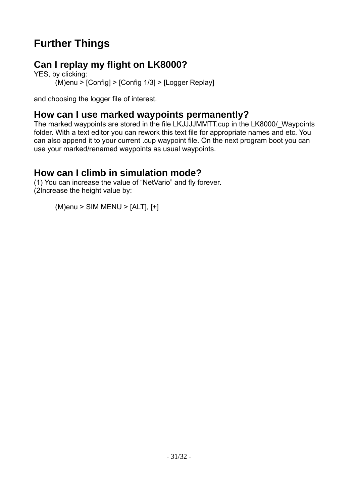## <span id="page-30-3"></span>**Further Things**

## <span id="page-30-2"></span>**Can I replay my flight on LK8000?**

YES, by clicking: (M)enu > [Config] > [Config 1/3] > [Logger Replay]

and choosing the logger file of interest.

## <span id="page-30-1"></span>**How can I use marked waypoints permanently?**

The marked waypoints are stored in the file LKJJJJMMTT.cup in the LK8000/\_Waypoints folder. With a text editor you can rework this text file for appropriate names and etc. You can also append it to your current .cup waypoint file. On the next program boot you can use your marked/renamed waypoints as usual waypoints.

## <span id="page-30-0"></span>**How can I climb in simulation mode?**

(1) You can increase the value of "NetVario" and fly forever. (2Increase the height value by:

(M)enu > SIM MENU > [ALT], [+]